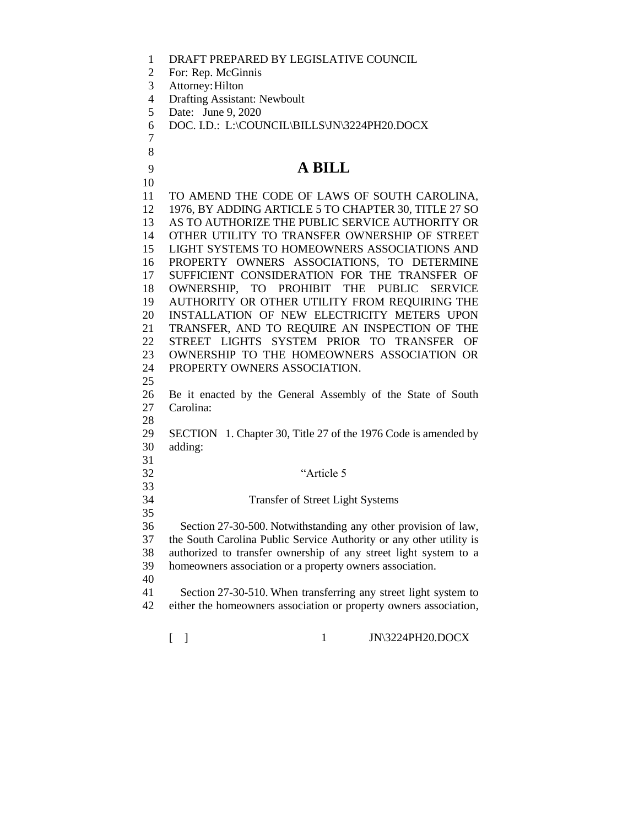|  |  | DRAFT PREPARED BY LEGISLATIVE COUNCIL |
|--|--|---------------------------------------|
|--|--|---------------------------------------|

- For: Rep. McGinnis
- Attorney:Hilton

 

- Drafting Assistant: Newboult
- Date: June 9, 2020
- DOC. I.D.: L:\COUNCIL\BILLS\JN\3224PH20.DOCX

## **A BILL**

[ ] 1 JN\3224PH20.DOCX TO AMEND THE CODE OF LAWS OF SOUTH CAROLINA, 1976, BY ADDING ARTICLE 5 TO CHAPTER 30, TITLE 27 SO AS TO AUTHORIZE THE PUBLIC SERVICE AUTHORITY OR OTHER UTILITY TO TRANSFER OWNERSHIP OF STREET LIGHT SYSTEMS TO HOMEOWNERS ASSOCIATIONS AND PROPERTY OWNERS ASSOCIATIONS, TO DETERMINE SUFFICIENT CONSIDERATION FOR THE TRANSFER OF OWNERSHIP, TO PROHIBIT THE PUBLIC SERVICE AUTHORITY OR OTHER UTILITY FROM REQUIRING THE INSTALLATION OF NEW ELECTRICITY METERS UPON TRANSFER, AND TO REQUIRE AN INSPECTION OF THE STREET LIGHTS SYSTEM PRIOR TO TRANSFER OF OWNERSHIP TO THE HOMEOWNERS ASSOCIATION OR PROPERTY OWNERS ASSOCIATION. Be it enacted by the General Assembly of the State of South Carolina: SECTION 1. Chapter 30, Title 27 of the 1976 Code is amended by adding: "Article 5 Transfer of Street Light Systems Section 27-30-500. Notwithstanding any other provision of law, the South Carolina Public Service Authority or any other utility is authorized to transfer ownership of any street light system to a homeowners association or a property owners association. Section 27-30-510. When transferring any street light system to either the homeowners association or property owners association,